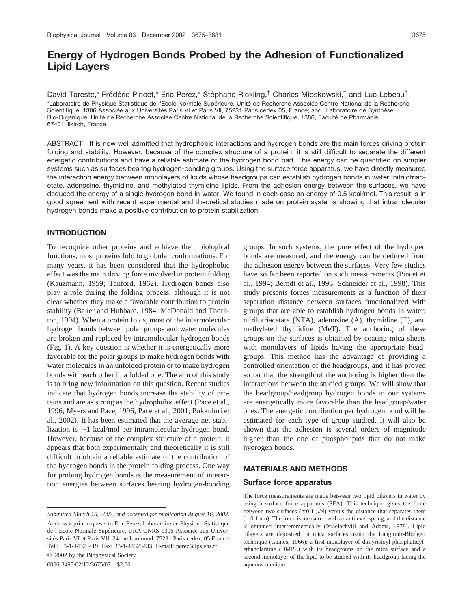# **Energy of Hydrogen Bonds Probed by the Adhesion of Functionalized Lipid Layers**

David Tareste,\* Frédéric Pincet,\* Eric Perez,\* Stéphane Rickling,<sup>†</sup> Charles Mioskowski,<sup>†</sup> and Luc Lebeau<sup>†</sup> \*Laboratoire de Physique Statistique de l'Ecole Normale Supérieure, Unité de Recherche Associée Centre National de la Recherche Scientifique, 1306 Associée aux Universités Paris VI et Paris VII, 75231 Paris cedex 05, France; and <sup>†</sup>Laboratoire de Synthèse Bio-Organique, Unité de Recherche Associée Centre National de la Recherche Scientifique, 1386, Faculté de Pharmacie, 67401 Illkirch, France

ABSTRACT It is now well admitted that hydrophobic interactions and hydrogen bonds are the main forces driving protein folding and stability. However, because of the complex structure of a protein, it is still difficult to separate the different energetic contributions and have a reliable estimate of the hydrogen bond part. This energy can be quantified on simpler systems such as surfaces bearing hydrogen-bonding groups. Using the surface force apparatus, we have directly measured the interaction energy between monolayers of lipids whose headgroups can establish hydrogen bonds in water: nitrilotriacetate, adenosine, thymidine, and methylated thymidine lipids. From the adhesion energy between the surfaces, we have deduced the energy of a single hydrogen bond in water. We found in each case an energy of 0.5 kcal/mol. This result is in good agreement with recent experimental and theoretical studies made on protein systems showing that intramolecular hydrogen bonds make a positive contribution to protein stabilization.

## **INTRODUCTION**

To recognize other proteins and achieve their biological functions, most proteins fold to globular conformations. For many years, it has been considered that the hydrophobic effect was the main driving force involved in protein folding (Kauzmann, 1959; Tanford, 1962). Hydrogen bonds also play a role during the folding process, although it is not clear whether they make a favorable contribution to protein stability (Baker and Hubbard, 1984; McDonald and Thornton, 1994). When a protein folds, most of the intermolecular hydrogen bonds between polar groups and water molecules are broken and replaced by intramolecular hydrogen bonds (Fig. 1). A key question is whether it is energetically more favorable for the polar groups to make hydrogen bonds with water molecules in an unfolded protein or to make hydrogen bonds with each other in a folded one. The aim of this study is to bring new information on this question. Recent studies indicate that hydrogen bonds increase the stability of proteins and are as strong as the hydrophobic effect (Pace et al., 1996; Myers and Pace, 1996; Pace et al., 2001; Pokkuluri et al., 2002). It has been estimated that the average net stabilization is  $\sim$ 1 kcal/mol per intramolecular hydrogen bond. However, because of the complex structure of a protein, it appears that both experimentally and theoretically it is still difficult to obtain a reliable estimate of the contribution of the hydrogen bonds in the protein folding process. One way for probing hydrogen bonds is the measurement of interaction energies between surfaces bearing hydrogen-bonding

© 2002 by the Biophysical Society

0006-3495/02/12/3675/07 \$2.00

groups. In such systems, the pure effect of the hydrogen bonds are measured, and the energy can be deduced from the adhesion energy between the surfaces. Very few studies have so far been reported on such measurements (Pincet et al., 1994; Berndt et al., 1995; Schneider et al., 1998). This study presents forces measurements as a function of their separation distance between surfaces functionalized with groups that are able to establish hydrogen bonds in water: nitrilotriacetate (NTA), adenosine (A), thymidine (T), and methylated thymidine (MeT). The anchoring of these groups on the surfaces is obtained by coating mica sheets with monolayers of lipids having the appropriate headgroups. This method has the advantage of providing a controlled orientation of the headgroups, and it has proved so far that the strength of the anchoring is higher than the interactions between the studied groups. We will show that the headgroup/headgroup hydrogen bonds in our systems are energetically more favorable than the headgroup/water ones. The energetic contribution per hydrogen bond will be estimated for each type of group studied. It will also be shown that the adhesion is several orders of magnitude higher than the one of phospholipids that do not make hydrogen bonds.

#### **MATERIALS AND METHODS**

#### **Surface force apparatus**

The force measurements are made between two lipid bilayers in water by using a surface force apparatus (SFA). This technique gives the force between two surfaces ( $\pm 0.1 \mu$ N) versus the distance that separates them  $(\pm 0.1 \text{ nm})$ . The force is measured with a cantilever spring, and the distance is obtained interferometrically (Israelachvili and Adams, 1978). Lipid bilayers are deposited on mica surfaces using the Langmuir-Blodgett technique (Gaines, 1966): a first monolayer of dimyristoyl-phosphatidylethanolamine (DMPE) with its headgroups on the mica surface and a second monolayer of the lipid to be studied with its headgroup facing the aqueous medium.

*Submitted March 15, 2002, and accepted for publication August 16, 2002.* Address reprint requests to Eric Perez, Laboratoire de Physique Statistique de l'Ecole Normale Supérieure, URA CNRS 1306 Associée aux Universités Paris VI et Paris VII, 24 rue Lhomond, 75231 Paris cedex, 05 France. Tel.: 33-1-44323419; Fax: 33-1-44323433; E-mail: perez@lps.ens.fr.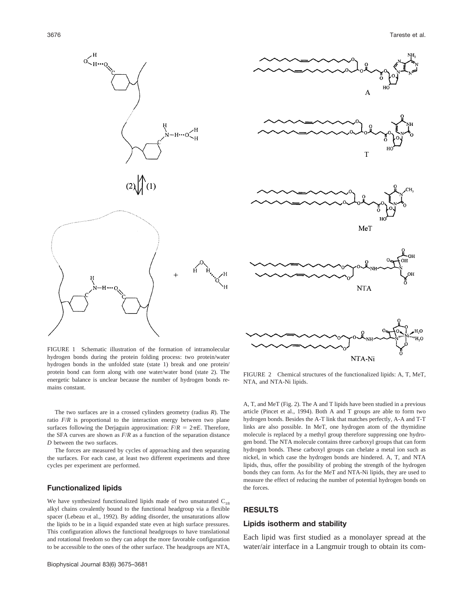



FIGURE 1 Schematic illustration of the formation of intramolecular hydrogen bonds during the protein folding process: two protein/water hydrogen bonds in the unfolded state (state 1) break and one protein/ protein bond can form along with one water/water bond (state 2). The energetic balance is unclear because the number of hydrogen bonds remains constant.

The two surfaces are in a crossed cylinders geometry (radius *R*). The ratio  $F/R$  is proportional to the interaction energy between two plane surfaces following the Derjaguin approximation:  $F/R = 2\pi E$ . Therefore, the SFA curves are shown as *F*/*R* as a function of the separation distance *D* between the two surfaces.

The forces are measured by cycles of approaching and then separating the surfaces. For each case, at least two different experiments and three cycles per experiment are performed.

# **Functionalized lipids**

We have synthesized functionalized lipids made of two unsaturated  $C_{18}$ alkyl chains covalently bound to the functional headgroup via a flexible spacer (Lebeau et al., 1992). By adding disorder, the unsaturations allow the lipids to be in a liquid expanded state even at high surface pressures. This configuration allows the functional headgroups to have translational and rotational freedom so they can adopt the more favorable configuration to be accessible to the ones of the other surface. The headgroups are NTA,

FIGURE 2 Chemical structures of the functionalized lipids: A, T, MeT, NTA, and NTA-Ni lipids.

A, T, and MeT (Fig. 2). The A and T lipids have been studied in a previous article (Pincet et al., 1994). Both A and T groups are able to form two hydrogen bonds. Besides the A-T link that matches perfectly, A-A and T-T links are also possible. In MeT, one hydrogen atom of the thymidine molecule is replaced by a methyl group therefore suppressing one hydrogen bond. The NTA molecule contains three carboxyl groups that can form hydrogen bonds. These carboxyl groups can chelate a metal ion such as nickel, in which case the hydrogen bonds are hindered. A, T, and NTA lipids, thus, offer the possibility of probing the strength of the hydrogen bonds they can form. As for the MeT and NTA-Ni lipids, they are used to measure the effect of reducing the number of potential hydrogen bonds on the forces.

## **RESULTS**

#### **Lipids isotherm and stability**

Each lipid was first studied as a monolayer spread at the water/air interface in a Langmuir trough to obtain its com-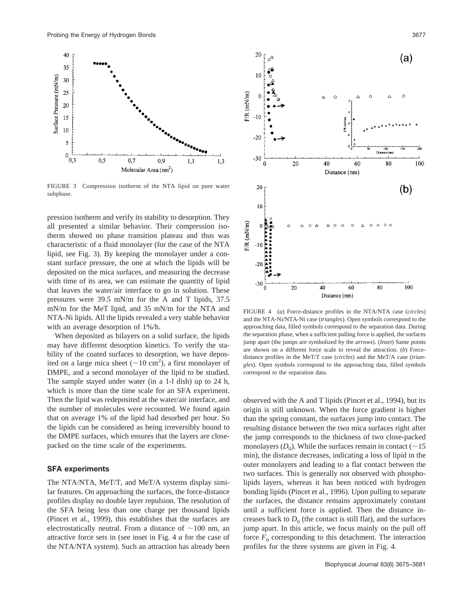

FIGURE 3 Compression isotherm of the NTA lipid on pure water subphase.

pression isotherm and verify its stability to desorption. They all presented a similar behavior. Their compression isotherm showed no phase transition plateau and thus was characteristic of a fluid monolayer (for the case of the NTA lipid, see Fig. 3). By keeping the monolayer under a constant surface pressure, the one at which the lipids will be deposited on the mica surfaces, and measuring the decrease with time of its area, we can estimate the quantity of lipid that leaves the water/air interface to go in solution. These pressures were 39.5 mN/m for the A and T lipids, 37.5 mN/m for the MeT lipid, and 35 mN/m for the NTA and NTA-Ni lipids. All the lipids revealed a very stable behavior with an average desorption of 1%/h.

When deposited as bilayers on a solid surface, the lipids may have different desorption kinetics. To verify the stability of the coated surfaces to desorption, we have deposited on a large mica sheet ( $\sim$ 10 cm<sup>2</sup>), a first monolayer of DMPE, and a second monolayer of the lipid to be studied. The sample stayed under water (in a 1-l dish) up to 24 h, which is more than the time scale for an SFA experiment. Then the lipid was redeposited at the water/air interface, and the number of molecules were recounted. We found again that on average 1% of the lipid had desorbed per hour. So the lipids can be considered as being irreversibly bound to the DMPE surfaces, which ensures that the layers are closepacked on the time scale of the experiments.

## **SFA experiments**

The NTA/NTA, MeT/T, and MeT/A systems display similar features. On approaching the surfaces, the force-distance profiles display no double layer repulsion. The resolution of the SFA being less than one charge per thousand lipids (Pincet et al., 1999), this establishes that the surfaces are electrostatically neutral. From a distance of  $\sim$ 100 nm, an attractive force sets in (see inset in Fig. 4 *a* for the case of the NTA/NTA system). Such an attraction has already been



FIGURE 4 (*a*) Force-distance profiles in the NTA/NTA case (*circles*) and the NTA-Ni/NTA-Ni case (*triangles*). Open symbols correspond to the approaching data, filled symbols correspond to the separation data. During the separation phase, when a sufficient pulling force is applied, the surfaces jump apart (the jumps are symbolized by the *arrows*). (*Inset*) Same points are shown on a different force scale to reveal the attraction. (*b*) Forcedistance profiles in the MeT/T case (*circles*) and the MeT/A case (*triangles*). Open symbols correspond to the approaching data, filled symbols correspond to the separation data.

observed with the A and T lipids (Pincet et al., 1994), but its origin is still unknown. When the force gradient is higher than the spring constant, the surfaces jump into contact. The resulting distance between the two mica surfaces right after the jump corresponds to the thickness of two close-packed monolayers  $(D_0)$ . While the surfaces remain in contact ( $\sim$ 15 min), the distance decreases, indicating a loss of lipid in the outer monolayers and leading to a flat contact between the two surfaces. This is generally not observed with phospholipids layers, whereas it has been noticed with hydrogen bonding lipids (Pincet et al., 1996). Upon pulling to separate the surfaces, the distance remains approximately constant until a sufficient force is applied. Then the distance increases back to  $D_0$  (the contact is still flat), and the surfaces jump apart. In this article, we focus mainly on the pull off force  $F_0$  corresponding to this detachment. The interaction profiles for the three systems are given in Fig. 4.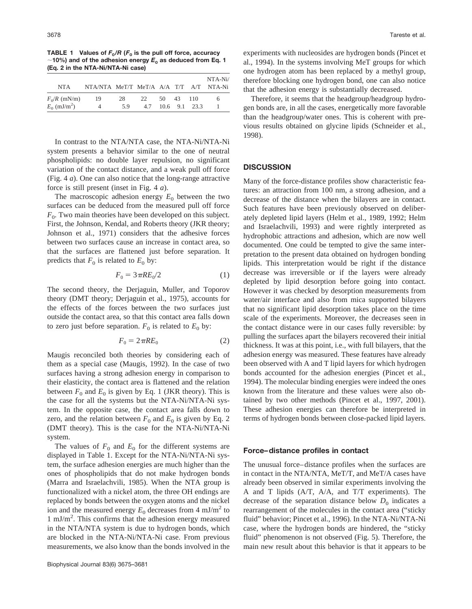**TABLE 1** Values of  $F_0/R$  ( $F_0$  is the pull off force, accuracy  $\sim$ 10%) and of the adhesion energy  $E_0$  as deduced from Eq. 1 **(Eq. 2 in the NTA-Ni/NTA-Ni case)**

| NTA.                                         | NTA/NTA MeT/T MeT/A A/A T/T A/T NTA-Ni |           |    |           |                   | $NTA-Ni/$ |
|----------------------------------------------|----------------------------------------|-----------|----|-----------|-------------------|-----------|
| $F_0/R$ (mN/m)<br>$E_0$ (mJ/m <sup>2</sup> ) | -19<br>4                               | 28<br>5.9 | 22 | 50 43 110 | 4.7 10.6 9.1 23.3 | 6         |

In contrast to the NTA/NTA case, the NTA-Ni/NTA-Ni system presents a behavior similar to the one of neutral phospholipids: no double layer repulsion, no significant variation of the contact distance, and a weak pull off force (Fig. 4 *a*). One can also notice that the long-range attractive force is still present (inset in Fig. 4 *a*).

The macroscopic adhesion energy  $E_0$  between the two surfaces can be deduced from the measured pull off force  $F<sub>0</sub>$ . Two main theories have been developed on this subject. First, the Johnson, Kendal, and Roberts theory (JKR theory; Johnson et al., 1971) considers that the adhesive forces between two surfaces cause an increase in contact area, so that the surfaces are flattened just before separation. It predicts that  $F_0$  is related to  $E_0$  by:

$$
F_0 = 3\pi R E_0 / 2\tag{1}
$$

The second theory, the Derjaguin, Muller, and Toporov theory (DMT theory; Derjaguin et al., 1975), accounts for the effects of the forces between the two surfaces just outside the contact area, so that this contact area falls down to zero just before separation.  $F_0$  is related to  $E_0$  by:

$$
F_0 = 2\pi R E_0 \tag{2}
$$

Maugis reconciled both theories by considering each of them as a special case (Maugis, 1992). In the case of two surfaces having a strong adhesion energy in comparison to their elasticity, the contact area is flattened and the relation between  $F_0$  and  $E_0$  is given by Eq. 1 (JKR theory). This is the case for all the systems but the NTA-Ni/NTA-Ni system. In the opposite case, the contact area falls down to zero, and the relation between  $F_0$  and  $E_0$  is given by Eq. 2 (DMT theory). This is the case for the NTA-Ni/NTA-Ni system.

The values of  $F_0$  and  $E_0$  for the different systems are displayed in Table 1. Except for the NTA-Ni/NTA-Ni system, the surface adhesion energies are much higher than the ones of phospholipids that do not make hydrogen bonds (Marra and Israelachvili, 1985). When the NTA group is functionalized with a nickel atom, the three OH endings are replaced by bonds between the oxygen atoms and the nickel ion and the measured energy  $E_0$  decreases from 4 mJ/m<sup>2</sup> to 1 mJ/m2 . This confirms that the adhesion energy measured in the NTA/NTA system is due to hydrogen bonds, which are blocked in the NTA-Ni/NTA-Ni case. From previous measurements, we also know than the bonds involved in the experiments with nucleosides are hydrogen bonds (Pincet et al., 1994). In the systems involving MeT groups for which one hydrogen atom has been replaced by a methyl group, therefore blocking one hydrogen bond, one can also notice that the adhesion energy is substantially decreased.

Therefore, it seems that the headgroup/headgroup hydrogen bonds are, in all the cases, energetically more favorable than the headgroup/water ones. This is coherent with previous results obtained on glycine lipids (Schneider et al., 1998).

## **DISCUSSION**

Many of the force-distance profiles show characteristic features: an attraction from 100 nm, a strong adhesion, and a decrease of the distance when the bilayers are in contact. Such features have been previously observed on deliberately depleted lipid layers (Helm et al., 1989, 1992; Helm and Israelachvili, 1993) and were rightly interpreted as hydrophobic attractions and adhesion, which are now well documented. One could be tempted to give the same interpretation to the present data obtained on hydrogen bonding lipids. This interpretation would be right if the distance decrease was irreversible or if the layers were already depleted by lipid desorption before going into contact. However it was checked by desorption measurements from water/air interface and also from mica supported bilayers that no significant lipid desorption takes place on the time scale of the experiments. Moreover, the decreases seen in the contact distance were in our cases fully reversible: by pulling the surfaces apart the bilayers recovered their initial thickness. It was at this point, i.e., with full bilayers, that the adhesion energy was measured. These features have already been observed with A and T lipid layers for which hydrogen bonds accounted for the adhesion energies (Pincet et al., 1994). The molecular binding energies were indeed the ones known from the literature and these values were also obtained by two other methods (Pincet et al., 1997, 2001). These adhesion energies can therefore be interpreted in terms of hydrogen bonds between close-packed lipid layers.

#### **Force–distance profiles in contact**

The unusual force–distance profiles when the surfaces are in contact in the NTA/NTA, MeT/T, and MeT/A cases have already been observed in similar experiments involving the A and T lipids (A/T, A/A, and T/T experiments). The decrease of the separation distance below  $D_0$  indicates a rearrangement of the molecules in the contact area ("sticky fluid" behavior; Pincet et al., 1996). In the NTA-Ni/NTA-Ni case, where the hydrogen bonds are hindered, the "sticky fluid" phenomenon is not observed (Fig. 5). Therefore, the main new result about this behavior is that it appears to be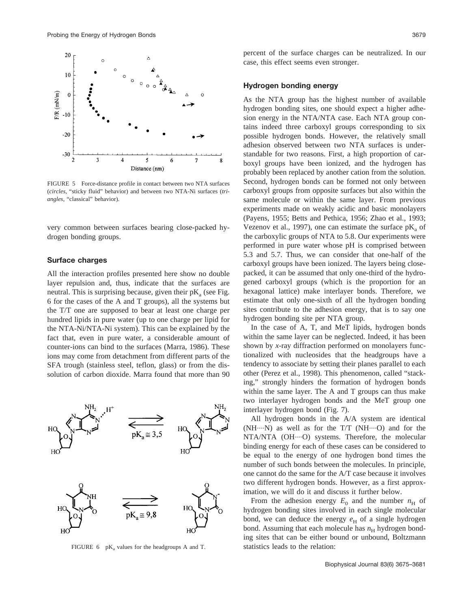

FIGURE 5 Force-distance profile in contact between two NTA surfaces (*circles*, "sticky fluid" behavior) and between two NTA-Ni surfaces (*triangles*, "classical" behavior).

very common between surfaces bearing close-packed hydrogen bonding groups.

#### **Surface charges**

All the interaction profiles presented here show no double layer repulsion and, thus, indicate that the surfaces are neutral. This is surprising because, given their  $pK_a$  (see Fig. 6 for the cases of the A and T groups), all the systems but the T/T one are supposed to bear at least one charge per hundred lipids in pure water (up to one charge per lipid for the NTA-Ni/NTA-Ni system). This can be explained by the fact that, even in pure water, a considerable amount of counter-ions can bind to the surfaces (Marra, 1986). These ions may come from detachment from different parts of the SFA trough (stainless steel, teflon, glass) or from the dissolution of carbon dioxide. Marra found that more than 90



FIGURE  $6$  pK<sub>a</sub> values for the headgroups A and T.

percent of the surface charges can be neutralized. In our case, this effect seems even stronger.

#### **Hydrogen bonding energy**

As the NTA group has the highest number of available hydrogen bonding sites, one should expect a higher adhesion energy in the NTA/NTA case. Each NTA group contains indeed three carboxyl groups corresponding to six possible hydrogen bonds. However, the relatively small adhesion observed between two NTA surfaces is understandable for two reasons. First, a high proportion of carboxyl groups have been ionized, and the hydrogen has probably been replaced by another cation from the solution. Second, hydrogen bonds can be formed not only between carboxyl groups from opposite surfaces but also within the same molecule or within the same layer. From previous experiments made on weakly acidic and basic monolayers (Payens, 1955; Betts and Pethica, 1956; Zhao et al., 1993; Vezenov et al., 1997), one can estimate the surface  $pK_a$  of the carboxylic groups of NTA to 5.8. Our experiments were performed in pure water whose pH is comprised between 5.3 and 5.7. Thus, we can consider that one-half of the carboxyl groups have been ionized. The layers being closepacked, it can be assumed that only one-third of the hydrogened carboxyl groups (which is the proportion for an hexagonal lattice) make interlayer bonds. Therefore, we estimate that only one-sixth of all the hydrogen bonding sites contribute to the adhesion energy, that is to say one hydrogen bonding site per NTA group.

In the case of A, T, and MeT lipids, hydrogen bonds within the same layer can be neglected. Indeed, it has been shown by *x*-ray diffraction performed on monolayers functionalized with nucleosides that the headgroups have a tendency to associate by setting their planes parallel to each other (Perez et al., 1998). This phenomenon, called "stacking," strongly hinders the formation of hydrogen bonds within the same layer. The A and T groups can thus make two interlayer hydrogen bonds and the MeT group one interlayer hydrogen bond (Fig. 7).

All hydrogen bonds in the A/A system are identical  $(NH---N)$  as well as for the T/T  $(NH---O)$  and for the NTA/NTA (OH----O) systems. Therefore, the molecular binding energy for each of these cases can be considered to be equal to the energy of one hydrogen bond times the number of such bonds between the molecules. In principle, one cannot do the same for the A/T case because it involves two different hydrogen bonds. However, as a first approximation, we will do it and discuss it further below.

From the adhesion energy  $E_0$  and the number  $n_H$  of hydrogen bonding sites involved in each single molecular bond, we can deduce the energy  $e_H$  of a single hydrogen bond. Assuming that each molecule has  $n<sub>H</sub>$  hydrogen bonding sites that can be either bound or unbound, Boltzmann statistics leads to the relation: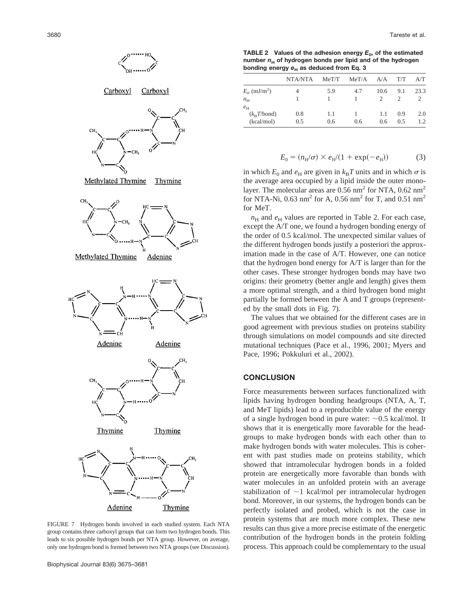

FIGURE 7 Hydrogen bonds involved in each studied system. Each NTA group contains three carboxyl groups that can form two hydrogen bonds. This leads to six possible hydrogen bonds per NTA group. However, on average, only one hydrogen bond is formed between two NTA groups (see Discussion).

**TABLE 2** Values of the adhesion energy  $E_0$ , of the estimated number  $n_H$  of hydrogen bonds per lipid and of the hydrogen bonding energy  $e_H$  as deduced from Eq. 3

|                            | NTA/NTA | MeT/T | MeT/A | A/A  | T/T | A/T  |
|----------------------------|---------|-------|-------|------|-----|------|
| $E_0$ (mJ/m <sup>2</sup> ) | 4       | 5.9   | 4.7   | 10.6 | 9.1 | 23.3 |
| $n_{\rm H}$                |         |       |       |      |     |      |
| $e_{\rm H}$                |         |       |       |      |     |      |
| $(k_{\rm B}T/bond)$        | 0.8     | 1.1   |       | 1.1  | 0.9 | 2.0  |
| (kcal/mol)                 | 0.5     | 0.6   | 0.6   | 0.6  | 0.5 | 1.2  |

$$
E_0 = (n_{\rm H}/\sigma) \times e_{\rm H}/(1 + \exp(-e_{\rm H}))
$$
 (3)

in which  $E_0$  and  $e_H$  are given in  $k_B T$  units and in which  $\sigma$  is the average area occupied by a lipid inside the outer monolayer. The molecular areas are  $0.56$  nm<sup>2</sup> for NTA,  $0.62$  nm<sup>2</sup> for NTA-Ni, 0.63 nm<sup>2</sup> for A, 0.56 nm<sup>2</sup> for T, and 0.51 nm<sup>2</sup> for MeT.

 $n_H$  and  $e_H$  values are reported in Table 2. For each case, except the A/T one, we found a hydrogen bonding energy of the order of 0.5 kcal/mol. The unexpected similar values of the different hydrogen bonds justify a posteriori the approximation made in the case of A/T. However, one can notice that the hydrogen bond energy for A/T is larger than for the other cases. These stronger hydrogen bonds may have two origins: their geometry (better angle and length) gives them a more optimal strength, and a third hydrogen bond might partially be formed between the A and T groups (represented by the small dots in Fig. 7).

The values that we obtained for the different cases are in good agreement with previous studies on proteins stability through simulations on model compounds and site directed mutational techniques (Pace et al., 1996, 2001; Myers and Pace, 1996; Pokkuluri et al., 2002).

#### **CONCLUSION**

Force measurements between surfaces functionalized with lipids having hydrogen bonding headgroups (NTA, A, T, and MeT lipids) lead to a reproducible value of the energy of a single hydrogen bond in pure water:  $\sim 0.5$  kcal/mol. It shows that it is energetically more favorable for the headgroups to make hydrogen bonds with each other than to make hydrogen bonds with water molecules. This is coherent with past studies made on proteins stability, which showed that intramolecular hydrogen bonds in a folded protein are energetically more favorable than bonds with water molecules in an unfolded protein with an average stabilization of  $\sim$ 1 kcal/mol per intramolecular hydrogen bond. Moreover, in our systems, the hydrogen bonds can be perfectly isolated and probed, which is not the case in protein systems that are much more complex. These new results can thus give a more precise estimate of the energetic contribution of the hydrogen bonds in the protein folding process. This approach could be complementary to the usual